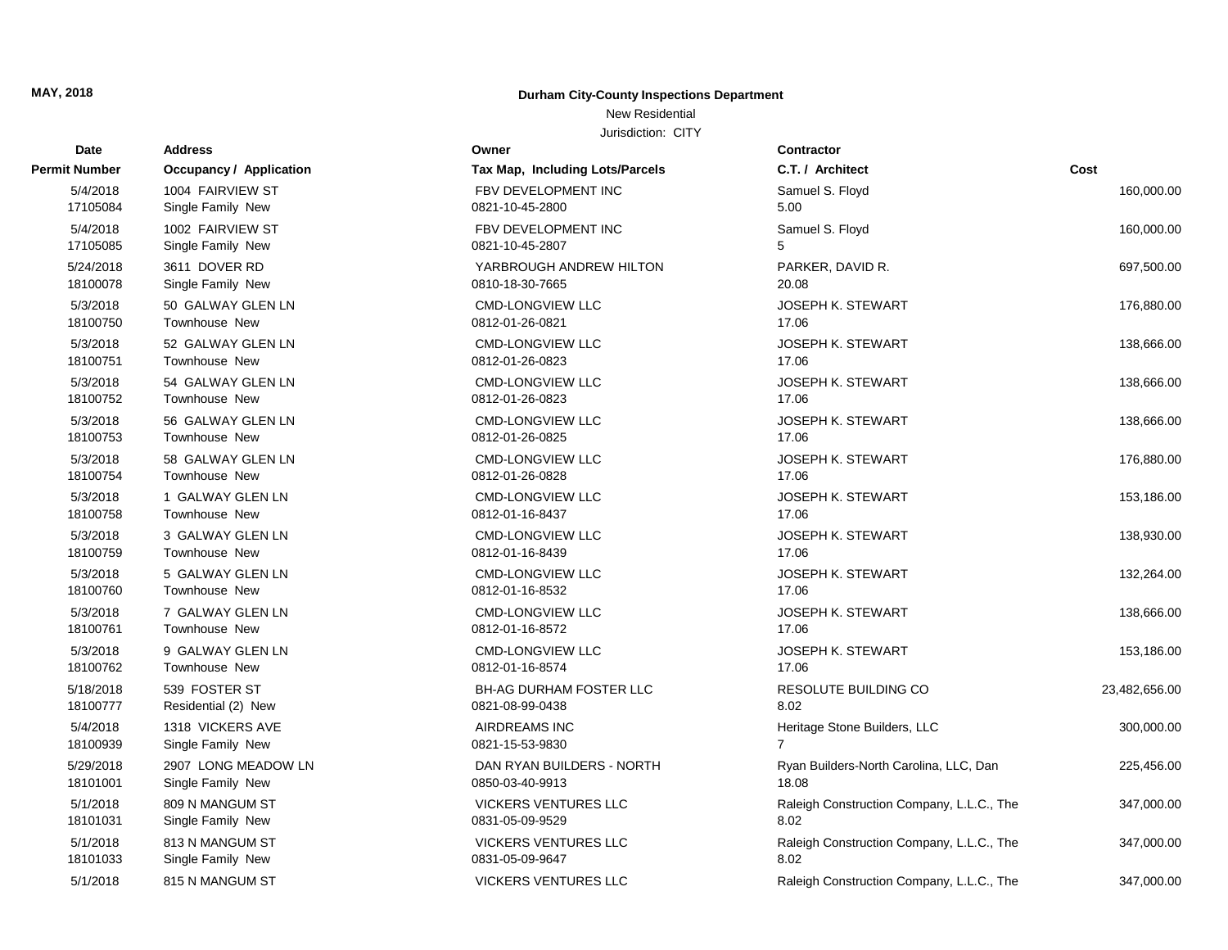## **Durham City-County Inspections Department**

## New Residential

| Date          | <b>Address</b>                 | Owner                           | Contractor                                |               |
|---------------|--------------------------------|---------------------------------|-------------------------------------------|---------------|
| Permit Number | <b>Occupancy / Application</b> | Tax Map, Including Lots/Parcels | C.T. / Architect                          | Cost          |
| 5/4/2018      | 1004 FAIRVIEW ST               | FBV DEVELOPMENT INC             | Samuel S. Floyd                           | 160,000.00    |
| 17105084      | Single Family New              | 0821-10-45-2800                 | 5.00                                      |               |
| 5/4/2018      | 1002 FAIRVIEW ST               | FBV DEVELOPMENT INC             | Samuel S. Floyd                           | 160,000.00    |
| 17105085      | Single Family New              | 0821-10-45-2807                 | 5                                         |               |
| 5/24/2018     | 3611 DOVER RD                  | YARBROUGH ANDREW HILTON         | PARKER, DAVID R.                          | 697,500.00    |
| 18100078      | Single Family New              | 0810-18-30-7665                 | 20.08                                     |               |
| 5/3/2018      | 50 GALWAY GLEN LN              | <b>CMD-LONGVIEW LLC</b>         | JOSEPH K. STEWART                         | 176,880.00    |
| 18100750      | Townhouse New                  | 0812-01-26-0821                 | 17.06                                     |               |
| 5/3/2018      | 52 GALWAY GLEN LN              | <b>CMD-LONGVIEW LLC</b>         | <b>JOSEPH K. STEWART</b>                  | 138,666.00    |
| 18100751      | Townhouse New                  | 0812-01-26-0823                 | 17.06                                     |               |
| 5/3/2018      | 54 GALWAY GLEN LN              | <b>CMD-LONGVIEW LLC</b>         | <b>JOSEPH K. STEWART</b>                  | 138,666.00    |
| 18100752      | Townhouse New                  | 0812-01-26-0823                 | 17.06                                     |               |
| 5/3/2018      | 56 GALWAY GLEN LN              | <b>CMD-LONGVIEW LLC</b>         | <b>JOSEPH K. STEWART</b>                  | 138,666.00    |
| 18100753      | Townhouse New                  | 0812-01-26-0825                 | 17.06                                     |               |
| 5/3/2018      | 58 GALWAY GLEN LN              | <b>CMD-LONGVIEW LLC</b>         | <b>JOSEPH K. STEWART</b>                  | 176,880.00    |
| 18100754      | <b>Townhouse New</b>           | 0812-01-26-0828                 | 17.06                                     |               |
| 5/3/2018      | 1 GALWAY GLEN LN               | <b>CMD-LONGVIEW LLC</b>         | <b>JOSEPH K. STEWART</b>                  | 153,186.00    |
| 18100758      | <b>Townhouse New</b>           | 0812-01-16-8437                 | 17.06                                     |               |
| 5/3/2018      | 3 GALWAY GLEN LN               | <b>CMD-LONGVIEW LLC</b>         | JOSEPH K. STEWART                         | 138,930.00    |
| 18100759      | Townhouse New                  | 0812-01-16-8439                 | 17.06                                     |               |
| 5/3/2018      | 5 GALWAY GLEN LN               | <b>CMD-LONGVIEW LLC</b>         | JOSEPH K. STEWART                         | 132,264.00    |
| 18100760      | Townhouse New                  | 0812-01-16-8532                 | 17.06                                     |               |
| 5/3/2018      | 7 GALWAY GLEN LN               | <b>CMD-LONGVIEW LLC</b>         | <b>JOSEPH K. STEWART</b>                  | 138,666.00    |
| 18100761      | <b>Townhouse New</b>           | 0812-01-16-8572                 | 17.06                                     |               |
| 5/3/2018      | 9 GALWAY GLEN LN               | <b>CMD-LONGVIEW LLC</b>         | <b>JOSEPH K. STEWART</b>                  | 153,186.00    |
| 18100762      | Townhouse New                  | 0812-01-16-8574                 | 17.06                                     |               |
| 5/18/2018     | 539 FOSTER ST                  | <b>BH-AG DURHAM FOSTER LLC</b>  | RESOLUTE BUILDING CO                      | 23,482,656.00 |
| 18100777      | Residential (2) New            | 0821-08-99-0438                 | 8.02                                      |               |
| 5/4/2018      | 1318 VICKERS AVE               | <b>AIRDREAMS INC</b>            | Heritage Stone Builders, LLC              | 300,000.00    |
| 18100939      | Single Family New              | 0821-15-53-9830                 | $\overline{7}$                            |               |
| 5/29/2018     | 2907 LONG MEADOW LN            | DAN RYAN BUILDERS - NORTH       | Ryan Builders-North Carolina, LLC, Dan    | 225,456.00    |
| 18101001      | Single Family New              | 0850-03-40-9913                 | 18.08                                     |               |
| 5/1/2018      | 809 N MANGUM ST                | <b>VICKERS VENTURES LLC</b>     | Raleigh Construction Company, L.L.C., The | 347,000.00    |
| 18101031      | Single Family New              | 0831-05-09-9529                 | 8.02                                      |               |
| 5/1/2018      | 813 N MANGUM ST                | <b>VICKERS VENTURES LLC</b>     | Raleigh Construction Company, L.L.C., The | 347,000.00    |
| 18101033      | Single Family New              | 0831-05-09-9647                 | 8.02                                      |               |
| 5/1/2018      | 815 N MANGUM ST                | <b>VICKERS VENTURES LLC</b>     | Raleigh Construction Company, L.L.C., The | 347,000.00    |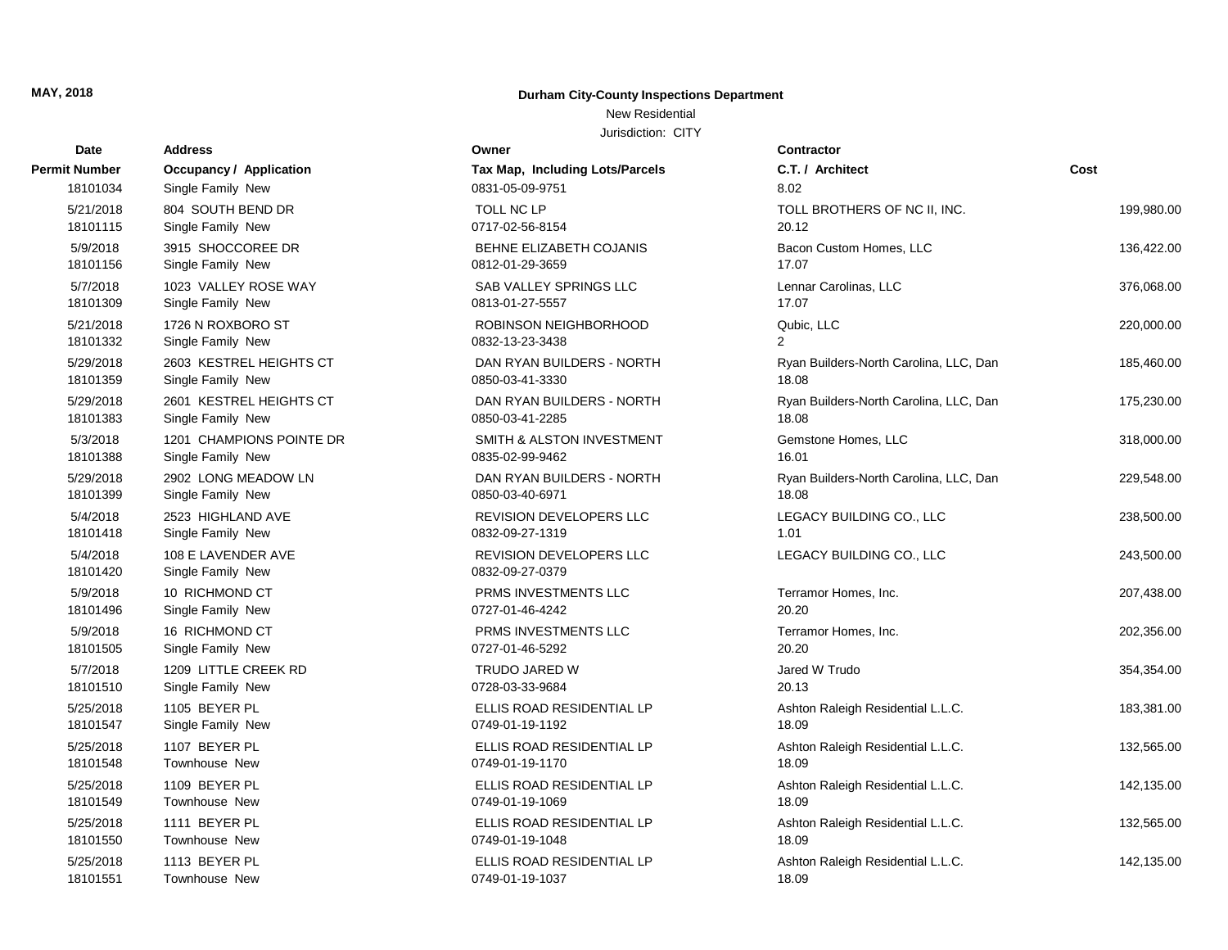## **Durham City-County Inspections Department**

## New Residential

| Date                 | <b>Address</b>                          | Owner                                             | Contractor                             |            |
|----------------------|-----------------------------------------|---------------------------------------------------|----------------------------------------|------------|
| Permit Number        | Occupancy / Application                 | Tax Map, Including Lots/Parcels                   | C.T. / Architect                       | Cost       |
| 18101034             | Single Family New                       | 0831-05-09-9751                                   | 8.02                                   |            |
| 5/21/2018            | 804 SOUTH BEND DR                       | <b>TOLL NC LP</b>                                 | TOLL BROTHERS OF NC II, INC.           | 199,980.00 |
| 18101115             | Single Family New                       | 0717-02-56-8154                                   | 20.12                                  |            |
| 5/9/2018             | 3915 SHOCCOREE DR                       | BEHNE ELIZABETH COJANIS                           | Bacon Custom Homes, LLC                | 136,422.00 |
| 18101156             | Single Family New                       | 0812-01-29-3659                                   | 17.07                                  |            |
| 5/7/2018             | 1023 VALLEY ROSE WAY                    | SAB VALLEY SPRINGS LLC                            | Lennar Carolinas, LLC                  | 376,068.00 |
| 18101309             | Single Family New                       | 0813-01-27-5557                                   | 17.07                                  |            |
| 5/21/2018            | 1726 N ROXBORO ST                       | ROBINSON NEIGHBORHOOD                             | Qubic, LLC                             | 220,000.00 |
| 18101332             | Single Family New                       | 0832-13-23-3438                                   | 2                                      |            |
| 5/29/2018            | 2603 KESTREL HEIGHTS CT                 | DAN RYAN BUILDERS - NORTH                         | Ryan Builders-North Carolina, LLC, Dan | 185,460.00 |
| 18101359             | Single Family New                       | 0850-03-41-3330                                   | 18.08                                  |            |
| 5/29/2018            | 2601 KESTREL HEIGHTS CT                 | DAN RYAN BUILDERS - NORTH                         | Ryan Builders-North Carolina, LLC, Dan | 175,230.00 |
| 18101383             | Single Family New                       | 0850-03-41-2285                                   | 18.08                                  |            |
| 5/3/2018             | 1201 CHAMPIONS POINTE DR                | SMITH & ALSTON INVESTMENT                         | Gemstone Homes, LLC                    | 318,000.00 |
| 18101388             | Single Family New                       | 0835-02-99-9462                                   | 16.01                                  |            |
| 5/29/2018            | 2902 LONG MEADOW LN                     | DAN RYAN BUILDERS - NORTH                         | Ryan Builders-North Carolina, LLC, Dan | 229,548.00 |
| 18101399             | Single Family New                       | 0850-03-40-6971                                   | 18.08                                  |            |
| 5/4/2018             | 2523 HIGHLAND AVE                       | REVISION DEVELOPERS LLC                           | LEGACY BUILDING CO., LLC               | 238,500.00 |
| 18101418             | Single Family New                       | 0832-09-27-1319                                   | 1.01                                   |            |
| 5/4/2018<br>18101420 | 108 E LAVENDER AVE<br>Single Family New | <b>REVISION DEVELOPERS LLC</b><br>0832-09-27-0379 | LEGACY BUILDING CO., LLC               | 243,500.00 |
| 5/9/2018             | 10 RICHMOND CT                          | PRMS INVESTMENTS LLC                              | Terramor Homes, Inc.                   | 207,438.00 |
| 18101496             | Single Family New                       | 0727-01-46-4242                                   | 20.20                                  |            |
| 5/9/2018             | 16 RICHMOND CT                          | PRMS INVESTMENTS LLC                              | Terramor Homes, Inc.                   | 202,356.00 |
| 18101505             | Single Family New                       | 0727-01-46-5292                                   | 20.20                                  |            |
| 5/7/2018             | 1209 LITTLE CREEK RD                    | TRUDO JARED W                                     | Jared W Trudo                          | 354,354.00 |
| 18101510             | Single Family New                       | 0728-03-33-9684                                   | 20.13                                  |            |
| 5/25/2018            | 1105 BEYER PL                           | ELLIS ROAD RESIDENTIAL LP                         | Ashton Raleigh Residential L.L.C.      | 183,381.00 |
| 18101547             | Single Family New                       | 0749-01-19-1192                                   | 18.09                                  |            |
| 5/25/2018            | 1107 BEYER PL                           | ELLIS ROAD RESIDENTIAL LP                         | Ashton Raleigh Residential L.L.C.      | 132,565.00 |
| 18101548             | Townhouse New                           | 0749-01-19-1170                                   | 18.09                                  |            |
| 5/25/2018            | 1109 BEYER PL                           | ELLIS ROAD RESIDENTIAL LP                         | Ashton Raleigh Residential L.L.C.      | 142,135.00 |
| 18101549             | Townhouse New                           | 0749-01-19-1069                                   | 18.09                                  |            |
| 5/25/2018            | 1111 BEYER PL                           | ELLIS ROAD RESIDENTIAL LP                         | Ashton Raleigh Residential L.L.C.      | 132,565.00 |
| 18101550             | Townhouse New                           | 0749-01-19-1048                                   | 18.09                                  |            |
| 5/25/2018            | 1113 BEYER PL                           | ELLIS ROAD RESIDENTIAL LP                         | Ashton Raleigh Residential L.L.C.      | 142,135.00 |
| 18101551             | Townhouse New                           | 0749-01-19-1037                                   | 18.09                                  |            |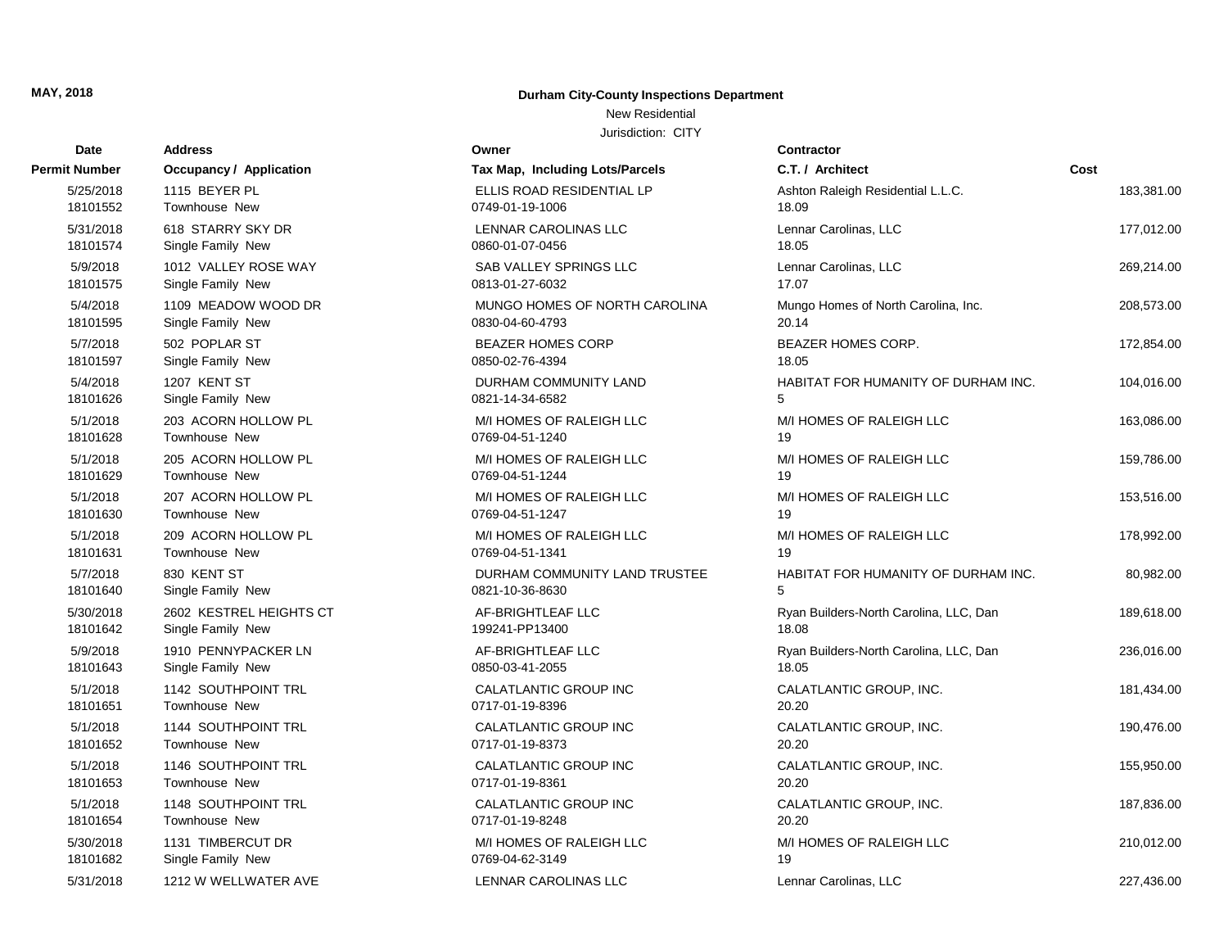**Permit Number Occupancy / Application** 

#### **Durham City-County Inspections Department**

#### New Residential

| Date                  | <b>Address</b>                         | Owner                                       | Contractor                             |            |
|-----------------------|----------------------------------------|---------------------------------------------|----------------------------------------|------------|
| t Number              | <b>Occupancy / Application</b>         | Tax Map, Including Lots/Parcels             | C.T. / Architect                       | Cost       |
| 5/25/2018             | 1115 BEYER PL                          | ELLIS ROAD RESIDENTIAL LP                   | Ashton Raleigh Residential L.L.C.      | 183,381.00 |
| 18101552              | Townhouse New                          | 0749-01-19-1006                             | 18.09                                  |            |
| 5/31/2018             | 618 STARRY SKY DR                      | LENNAR CAROLINAS LLC                        | Lennar Carolinas, LLC                  | 177,012.00 |
| 18101574              | Single Family New                      | 0860-01-07-0456                             | 18.05                                  |            |
| 5/9/2018              | 1012 VALLEY ROSE WAY                   | SAB VALLEY SPRINGS LLC                      | Lennar Carolinas, LLC                  | 269,214.00 |
| 18101575              | Single Family New                      | 0813-01-27-6032                             | 17.07                                  |            |
| 5/4/2018              | 1109 MEADOW WOOD DR                    | MUNGO HOMES OF NORTH CAROLINA               | Mungo Homes of North Carolina, Inc.    | 208,573.00 |
| 18101595              | Single Family New                      | 0830-04-60-4793                             | 20.14                                  |            |
| 5/7/2018              | 502 POPLAR ST                          | <b>BEAZER HOMES CORP</b>                    | <b>BEAZER HOMES CORP.</b>              | 172,854.00 |
| 18101597              | Single Family New                      | 0850-02-76-4394                             | 18.05                                  |            |
| 5/4/2018              | 1207 KENT ST                           | DURHAM COMMUNITY LAND                       | HABITAT FOR HUMANITY OF DURHAM INC.    | 104,016.00 |
| 18101626              | Single Family New                      | 0821-14-34-6582                             | 5                                      |            |
| 5/1/2018<br>18101628  | 203 ACORN HOLLOW PL<br>Townhouse New   | M/I HOMES OF RALEIGH LLC<br>0769-04-51-1240 | M/I HOMES OF RALEIGH LLC<br>19         | 163,086.00 |
|                       |                                        |                                             |                                        |            |
| 5/1/2018<br>18101629  | 205 ACORN HOLLOW PL<br>Townhouse New   | M/I HOMES OF RALEIGH LLC<br>0769-04-51-1244 | M/I HOMES OF RALEIGH LLC<br>19         | 159,786.00 |
| 5/1/2018              | 207 ACORN HOLLOW PL                    | M/I HOMES OF RALEIGH LLC                    | M/I HOMES OF RALEIGH LLC               | 153,516.00 |
| 18101630              | Townhouse New                          | 0769-04-51-1247                             | 19                                     |            |
| 5/1/2018              | 209 ACORN HOLLOW PL                    | M/I HOMES OF RALEIGH LLC                    | M/I HOMES OF RALEIGH LLC               | 178,992.00 |
| 18101631              | Townhouse New                          | 0769-04-51-1341                             | 19                                     |            |
| 5/7/2018              | 830 KENT ST                            | DURHAM COMMUNITY LAND TRUSTEE               | HABITAT FOR HUMANITY OF DURHAM INC.    | 80,982.00  |
| 18101640              | Single Family New                      | 0821-10-36-8630                             | 5                                      |            |
| 5/30/2018             | 2602 KESTREL HEIGHTS CT                | AF-BRIGHTLEAF LLC                           | Ryan Builders-North Carolina, LLC, Dan | 189,618.00 |
| 18101642              | Single Family New                      | 199241-PP13400                              | 18.08                                  |            |
| 5/9/2018              | 1910 PENNYPACKER LN                    | AF-BRIGHTLEAF LLC                           | Ryan Builders-North Carolina, LLC, Dan | 236,016.00 |
| 18101643              | Single Family New                      | 0850-03-41-2055                             | 18.05                                  |            |
| 5/1/2018              | 1142 SOUTHPOINT TRL                    | CALATLANTIC GROUP INC                       | CALATLANTIC GROUP, INC.                | 181,434.00 |
| 18101651              | Townhouse New                          | 0717-01-19-8396                             | 20.20                                  |            |
| 5/1/2018              | 1144 SOUTHPOINT TRL                    | <b>CALATLANTIC GROUP INC</b>                | CALATLANTIC GROUP, INC.                | 190,476.00 |
| 18101652              | Townhouse New                          | 0717-01-19-8373                             | 20.20                                  |            |
| 5/1/2018              | 1146 SOUTHPOINT TRL                    | CALATLANTIC GROUP INC                       | CALATLANTIC GROUP, INC.                | 155,950.00 |
| 18101653              | Townhouse New                          | 0717-01-19-8361                             | 20.20                                  |            |
| 5/1/2018              | 1148 SOUTHPOINT TRL                    | CALATLANTIC GROUP INC                       | CALATLANTIC GROUP, INC.                | 187,836.00 |
| 18101654              | Townhouse New                          | 0717-01-19-8248                             | 20.20                                  |            |
| 5/30/2018<br>18101682 | 1131 TIMBERCUT DR<br>Single Family New | M/I HOMES OF RALEIGH LLC<br>0769-04-62-3149 | M/I HOMES OF RALEIGH LLC<br>19         | 210,012.00 |
|                       |                                        |                                             |                                        |            |
| 5/31/2018             | 1212 W WELLWATER AVE                   | LENNAR CAROLINAS LLC                        | Lennar Carolinas, LLC                  | 227,436.00 |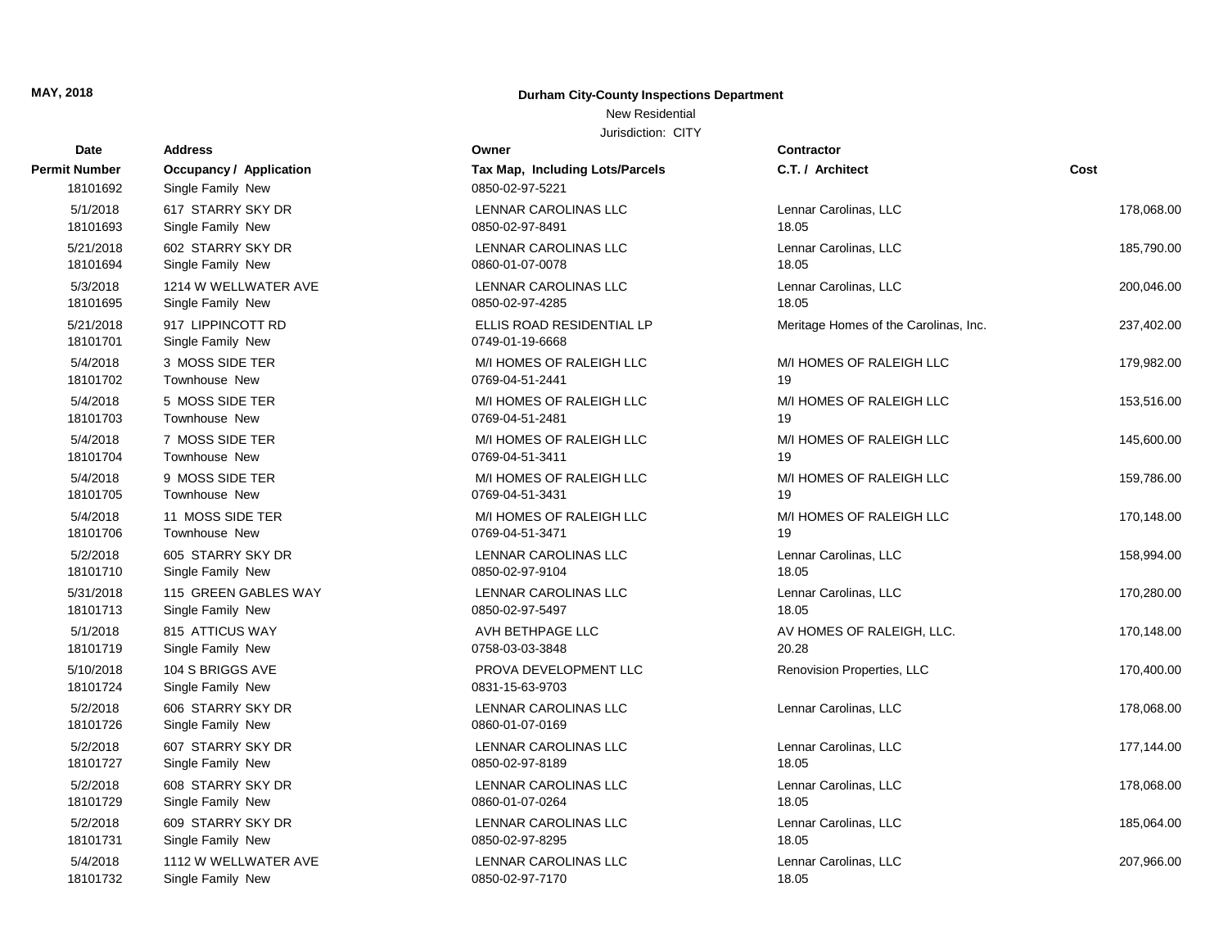## **Durham City-County Inspections Department**

## New Residential

| Date                      | <b>Address</b>                                      | Owner                                              | <b>Contractor</b>                     |            |
|---------------------------|-----------------------------------------------------|----------------------------------------------------|---------------------------------------|------------|
| Permit Number<br>18101692 | <b>Occupancy / Application</b><br>Single Family New | Tax Map, Including Lots/Parcels<br>0850-02-97-5221 | C.T. / Architect                      | Cost       |
| 5/1/2018                  | 617 STARRY SKY DR                                   | LENNAR CAROLINAS LLC                               | Lennar Carolinas, LLC                 | 178,068.00 |
| 18101693                  | Single Family New                                   | 0850-02-97-8491                                    | 18.05                                 |            |
| 5/21/2018                 | 602 STARRY SKY DR                                   | <b>LENNAR CAROLINAS LLC</b>                        | Lennar Carolinas, LLC                 | 185,790.00 |
| 18101694                  | Single Family New                                   | 0860-01-07-0078                                    | 18.05                                 |            |
| 5/3/2018                  | 1214 W WELLWATER AVE                                | LENNAR CAROLINAS LLC                               | Lennar Carolinas, LLC                 | 200,046.00 |
| 18101695                  | Single Family New                                   | 0850-02-97-4285                                    | 18.05                                 |            |
| 5/21/2018<br>18101701     | 917 LIPPINCOTT RD<br>Single Family New              | ELLIS ROAD RESIDENTIAL LP<br>0749-01-19-6668       | Meritage Homes of the Carolinas, Inc. | 237,402.00 |
| 5/4/2018                  | 3 MOSS SIDE TER                                     | M/I HOMES OF RALEIGH LLC                           | M/I HOMES OF RALEIGH LLC              | 179,982.00 |
| 18101702                  | Townhouse New                                       | 0769-04-51-2441                                    | 19                                    |            |
| 5/4/2018                  | 5 MOSS SIDE TER                                     | M/I HOMES OF RALEIGH LLC                           | M/I HOMES OF RALEIGH LLC              | 153,516.00 |
| 18101703                  | <b>Townhouse New</b>                                | 0769-04-51-2481                                    | 19                                    |            |
| 5/4/2018                  | 7 MOSS SIDE TER                                     | M/I HOMES OF RALEIGH LLC                           | M/I HOMES OF RALEIGH LLC              | 145,600.00 |
| 18101704                  | Townhouse New                                       | 0769-04-51-3411                                    | 19                                    |            |
| 5/4/2018                  | 9 MOSS SIDE TER                                     | M/I HOMES OF RALEIGH LLC                           | M/I HOMES OF RALEIGH LLC              | 159,786.00 |
| 18101705                  | <b>Townhouse New</b>                                | 0769-04-51-3431                                    | 19                                    |            |
| 5/4/2018                  | 11 MOSS SIDE TER                                    | M/I HOMES OF RALEIGH LLC                           | M/I HOMES OF RALEIGH LLC              | 170,148.00 |
| 18101706                  | <b>Townhouse New</b>                                | 0769-04-51-3471                                    | 19                                    |            |
| 5/2/2018                  | 605 STARRY SKY DR                                   | LENNAR CAROLINAS LLC                               | Lennar Carolinas, LLC                 | 158,994.00 |
| 18101710                  | Single Family New                                   | 0850-02-97-9104                                    | 18.05                                 |            |
| 5/31/2018                 | 115 GREEN GABLES WAY                                | LENNAR CAROLINAS LLC                               | Lennar Carolinas, LLC                 | 170,280.00 |
| 18101713                  | Single Family New                                   | 0850-02-97-5497                                    | 18.05                                 |            |
| 5/1/2018                  | 815 ATTICUS WAY                                     | AVH BETHPAGE LLC                                   | AV HOMES OF RALEIGH, LLC.             | 170,148.00 |
| 18101719                  | Single Family New                                   | 0758-03-03-3848                                    | 20.28                                 |            |
| 5/10/2018<br>18101724     | 104 S BRIGGS AVE<br>Single Family New               | PROVA DEVELOPMENT LLC<br>0831-15-63-9703           | Renovision Properties, LLC            | 170,400.00 |
| 5/2/2018<br>18101726      | 606 STARRY SKY DR<br>Single Family New              | LENNAR CAROLINAS LLC<br>0860-01-07-0169            | Lennar Carolinas, LLC                 | 178,068.00 |
| 5/2/2018                  | 607 STARRY SKY DR                                   | LENNAR CAROLINAS LLC                               | Lennar Carolinas, LLC                 | 177,144.00 |
| 18101727                  | Single Family New                                   | 0850-02-97-8189                                    | 18.05                                 |            |
| 5/2/2018                  | 608 STARRY SKY DR                                   | LENNAR CAROLINAS LLC                               | Lennar Carolinas, LLC                 | 178,068.00 |
| 18101729                  | Single Family New                                   | 0860-01-07-0264                                    | 18.05                                 |            |
| 5/2/2018                  | 609 STARRY SKY DR                                   | LENNAR CAROLINAS LLC                               | Lennar Carolinas, LLC                 | 185,064.00 |
| 18101731                  | Single Family New                                   | 0850-02-97-8295                                    | 18.05                                 |            |
| 5/4/2018                  | 1112 W WELLWATER AVE                                | <b>LENNAR CAROLINAS LLC</b>                        | Lennar Carolinas, LLC                 | 207,966.00 |
| 18101732                  | Single Family New                                   | 0850-02-97-7170                                    | 18.05                                 |            |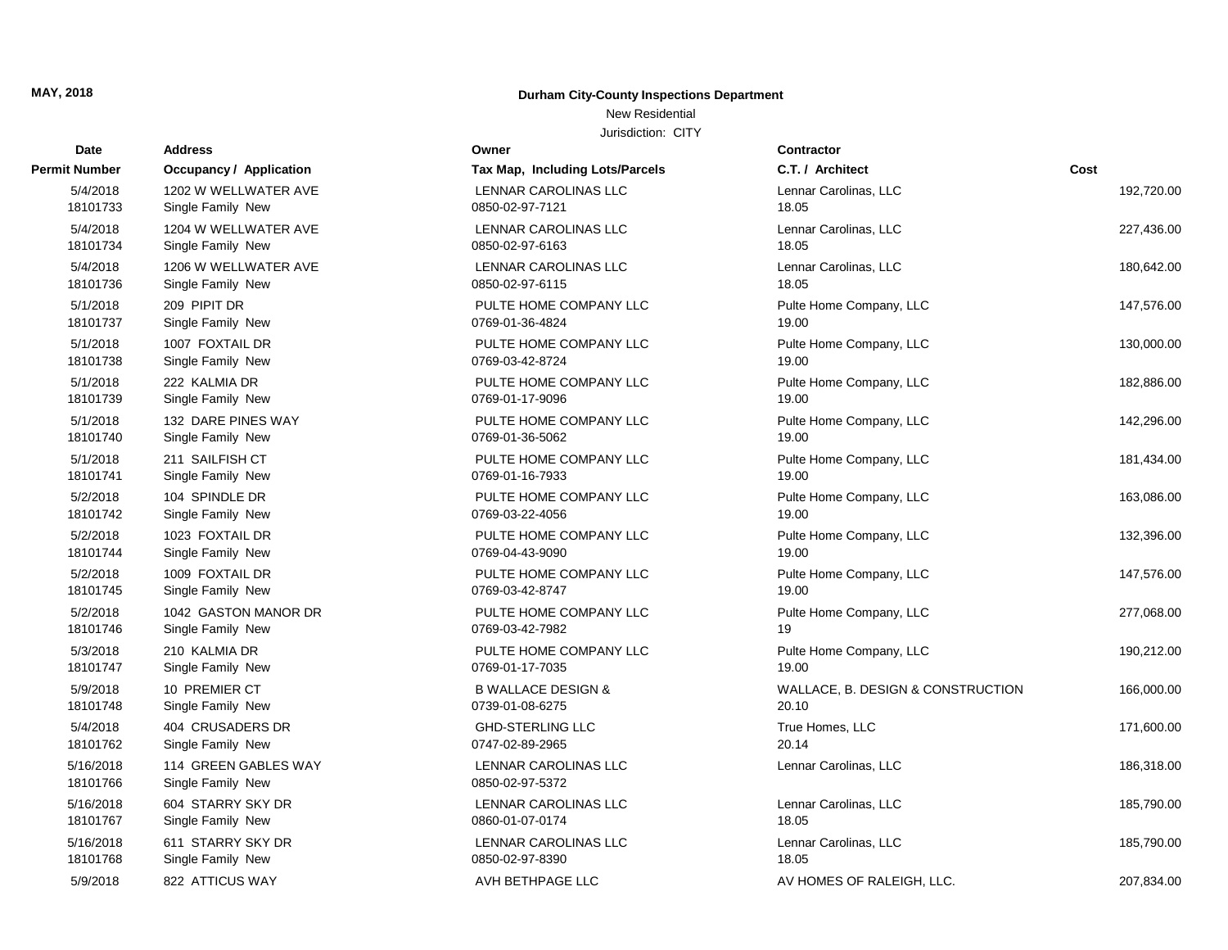## **Durham City-County Inspections Department**

## New Residential

| Date                 | <b>Address</b>                       | Owner                                     | <b>Contractor</b>                 |            |
|----------------------|--------------------------------------|-------------------------------------------|-----------------------------------|------------|
| Permit Number        | <b>Occupancy / Application</b>       | Tax Map, Including Lots/Parcels           | C.T. / Architect                  | Cost       |
| 5/4/2018             | 1202 W WELLWATER AVE                 | LENNAR CAROLINAS LLC                      | Lennar Carolinas, LLC             | 192,720.00 |
| 18101733             | Single Family New                    | 0850-02-97-7121                           | 18.05                             |            |
| 5/4/2018             | 1204 W WELLWATER AVE                 | LENNAR CAROLINAS LLC                      | Lennar Carolinas, LLC             | 227,436.00 |
| 18101734             | Single Family New                    | 0850-02-97-6163                           | 18.05                             |            |
| 5/4/2018             | 1206 W WELLWATER AVE                 | LENNAR CAROLINAS LLC                      | Lennar Carolinas, LLC             | 180,642.00 |
| 18101736             | Single Family New                    | 0850-02-97-6115                           | 18.05                             |            |
| 5/1/2018             | 209 PIPIT DR                         | PULTE HOME COMPANY LLC                    | Pulte Home Company, LLC           | 147,576.00 |
| 18101737             | Single Family New                    | 0769-01-36-4824                           | 19.00                             |            |
| 5/1/2018             | 1007 FOXTAIL DR                      | PULTE HOME COMPANY LLC                    | Pulte Home Company, LLC           | 130,000.00 |
| 18101738             | Single Family New                    | 0769-03-42-8724                           | 19.00                             |            |
| 5/1/2018             | 222 KALMIA DR                        | PULTE HOME COMPANY LLC                    | Pulte Home Company, LLC           | 182,886.00 |
| 18101739             | Single Family New                    | 0769-01-17-9096                           | 19.00                             |            |
| 5/1/2018             | 132 DARE PINES WAY                   | PULTE HOME COMPANY LLC                    | Pulte Home Company, LLC           | 142,296.00 |
| 18101740             | Single Family New                    | 0769-01-36-5062                           | 19.00                             |            |
| 5/1/2018             | 211 SAILFISH CT                      | PULTE HOME COMPANY LLC                    | Pulte Home Company, LLC           | 181,434.00 |
| 18101741             | Single Family New                    | 0769-01-16-7933                           | 19.00                             |            |
| 5/2/2018<br>18101742 | 104 SPINDLE DR<br>Single Family New  | PULTE HOME COMPANY LLC<br>0769-03-22-4056 | Pulte Home Company, LLC<br>19.00  | 163,086.00 |
|                      |                                      |                                           |                                   |            |
| 5/2/2018<br>18101744 | 1023 FOXTAIL DR<br>Single Family New | PULTE HOME COMPANY LLC<br>0769-04-43-9090 | Pulte Home Company, LLC<br>19.00  | 132,396.00 |
| 5/2/2018             | 1009 FOXTAIL DR                      | PULTE HOME COMPANY LLC                    | Pulte Home Company, LLC           | 147,576.00 |
| 18101745             | Single Family New                    | 0769-03-42-8747                           | 19.00                             |            |
| 5/2/2018             | 1042 GASTON MANOR DR                 | PULTE HOME COMPANY LLC                    | Pulte Home Company, LLC           | 277,068.00 |
| 18101746             | Single Family New                    | 0769-03-42-7982                           | 19                                |            |
| 5/3/2018             | 210 KALMIA DR                        | PULTE HOME COMPANY LLC                    | Pulte Home Company, LLC           | 190,212.00 |
| 18101747             | Single Family New                    | 0769-01-17-7035                           | 19.00                             |            |
| 5/9/2018             | 10 PREMIER CT                        | <b>B WALLACE DESIGN &amp;</b>             | WALLACE, B. DESIGN & CONSTRUCTION | 166,000.00 |
| 18101748             | Single Family New                    | 0739-01-08-6275                           | 20.10                             |            |
| 5/4/2018             | 404 CRUSADERS DR                     | <b>GHD-STERLING LLC</b>                   | True Homes, LLC                   | 171,600.00 |
| 18101762             | Single Family New                    | 0747-02-89-2965                           | 20.14                             |            |
| 5/16/2018            | 114 GREEN GABLES WAY                 | LENNAR CAROLINAS LLC                      | Lennar Carolinas, LLC             | 186,318.00 |
| 18101766             | Single Family New                    | 0850-02-97-5372                           |                                   |            |
| 5/16/2018            | 604 STARRY SKY DR                    | LENNAR CAROLINAS LLC                      | Lennar Carolinas, LLC             | 185,790.00 |
| 18101767             | Single Family New                    | 0860-01-07-0174                           | 18.05                             |            |
| 5/16/2018            | 611 STARRY SKY DR                    | LENNAR CAROLINAS LLC                      | Lennar Carolinas, LLC             | 185,790.00 |
| 18101768             | Single Family New                    | 0850-02-97-8390                           | 18.05                             |            |
| 5/9/2018             | 822 ATTICUS WAY                      | AVH BETHPAGE LLC                          | AV HOMES OF RALEIGH, LLC.         | 207,834.00 |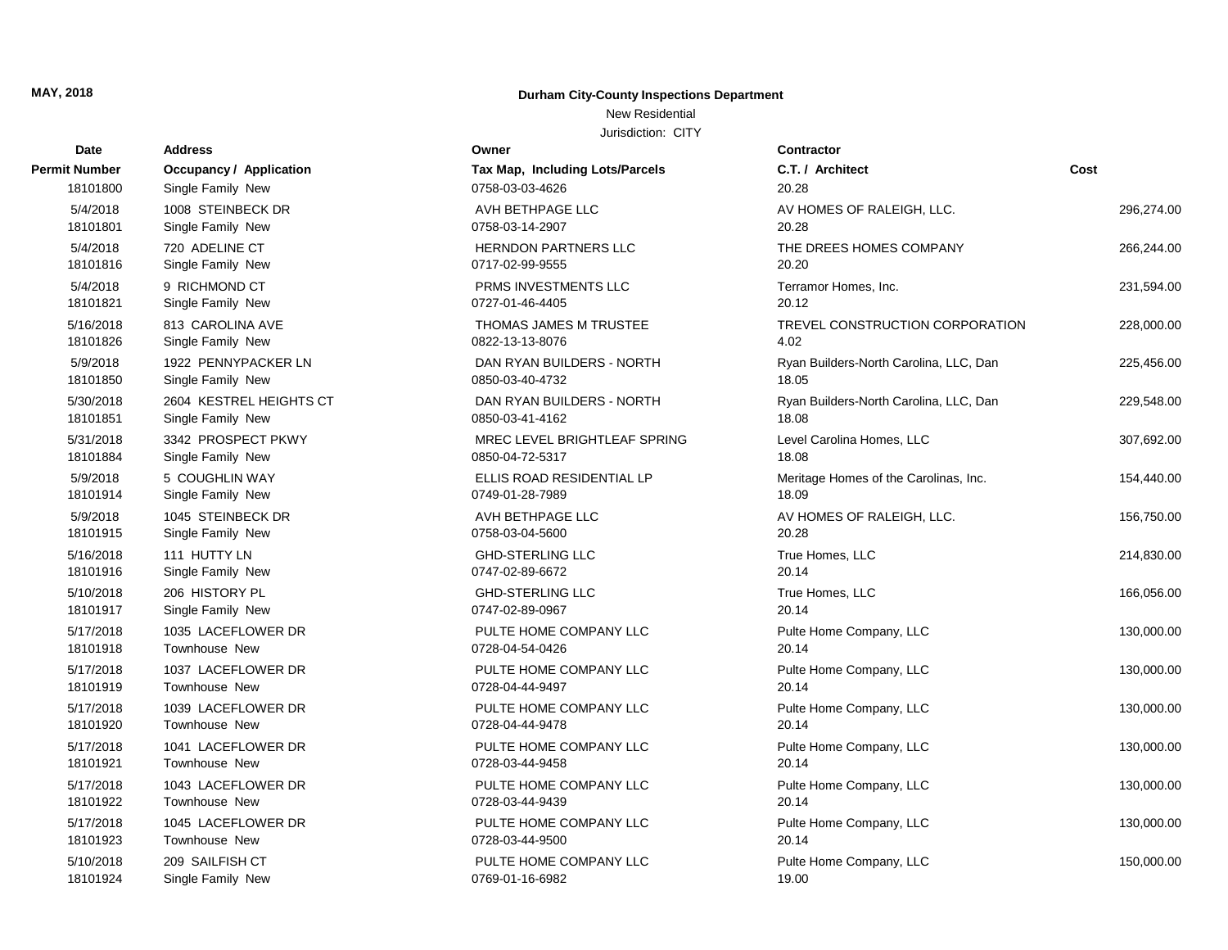## **Durham City-County Inspections Department**

## New Residential

| Date          | Address                 | Owner                           | <b>Contractor</b>                      |            |
|---------------|-------------------------|---------------------------------|----------------------------------------|------------|
| Permit Number | Occupancy / Application | Tax Map, Including Lots/Parcels | C.T. / Architect                       | Cost       |
| 18101800      | Single Family New       | 0758-03-03-4626                 | 20.28                                  |            |
| 5/4/2018      | 1008 STEINBECK DR       | AVH BETHPAGE LLC                | AV HOMES OF RALEIGH, LLC.              | 296,274.00 |
| 18101801      | Single Family New       | 0758-03-14-2907                 | 20.28                                  |            |
| 5/4/2018      | 720 ADELINE CT          | HERNDON PARTNERS LLC            | THE DREES HOMES COMPANY                | 266,244.00 |
| 18101816      | Single Family New       | 0717-02-99-9555                 | 20.20                                  |            |
| 5/4/2018      | 9 RICHMOND CT           | PRMS INVESTMENTS LLC            | Terramor Homes, Inc.                   | 231,594.00 |
| 18101821      | Single Family New       | 0727-01-46-4405                 | 20.12                                  |            |
| 5/16/2018     | 813 CAROLINA AVE        | <b>THOMAS JAMES M TRUSTEE</b>   | TREVEL CONSTRUCTION CORPORATION        | 228,000.00 |
| 18101826      | Single Family New       | 0822-13-13-8076                 | 4.02                                   |            |
| 5/9/2018      | 1922 PENNYPACKER LN     | DAN RYAN BUILDERS - NORTH       | Ryan Builders-North Carolina, LLC, Dan | 225,456.00 |
| 18101850      | Single Family New       | 0850-03-40-4732                 | 18.05                                  |            |
| 5/30/2018     | 2604 KESTREL HEIGHTS CT | DAN RYAN BUILDERS - NORTH       | Ryan Builders-North Carolina, LLC, Dan | 229,548.00 |
| 18101851      | Single Family New       | 0850-03-41-4162                 | 18.08                                  |            |
| 5/31/2018     | 3342 PROSPECT PKWY      | MREC LEVEL BRIGHTLEAF SPRING    | Level Carolina Homes, LLC              | 307,692.00 |
| 18101884      | Single Family New       | 0850-04-72-5317                 | 18.08                                  |            |
| 5/9/2018      | 5 COUGHLIN WAY          | ELLIS ROAD RESIDENTIAL LP       | Meritage Homes of the Carolinas, Inc.  | 154,440.00 |
| 18101914      | Single Family New       | 0749-01-28-7989                 | 18.09                                  |            |
| 5/9/2018      | 1045 STEINBECK DR       | AVH BETHPAGE LLC                | AV HOMES OF RALEIGH, LLC.              | 156,750.00 |
| 18101915      | Single Family New       | 0758-03-04-5600                 | 20.28                                  |            |
| 5/16/2018     | 111 HUTTY LN            | <b>GHD-STERLING LLC</b>         | True Homes, LLC                        | 214,830.00 |
| 18101916      | Single Family New       | 0747-02-89-6672                 | 20.14                                  |            |
| 5/10/2018     | 206 HISTORY PL          | <b>GHD-STERLING LLC</b>         | True Homes, LLC                        | 166,056.00 |
| 18101917      | Single Family New       | 0747-02-89-0967                 | 20.14                                  |            |
| 5/17/2018     | 1035 LACEFLOWER DR      | PULTE HOME COMPANY LLC          | Pulte Home Company, LLC                | 130,000.00 |
| 18101918      | <b>Townhouse New</b>    | 0728-04-54-0426                 | 20.14                                  |            |
| 5/17/2018     | 1037 LACEFLOWER DR      | PULTE HOME COMPANY LLC          | Pulte Home Company, LLC                | 130,000.00 |
| 18101919      | Townhouse New           | 0728-04-44-9497                 | 20.14                                  |            |
| 5/17/2018     | 1039 LACEFLOWER DR      | PULTE HOME COMPANY LLC          | Pulte Home Company, LLC                | 130,000.00 |
| 18101920      | <b>Townhouse New</b>    | 0728-04-44-9478                 | 20.14                                  |            |
| 5/17/2018     | 1041 LACEFLOWER DR      | PULTE HOME COMPANY LLC          | Pulte Home Company, LLC                | 130,000.00 |
| 18101921      | Townhouse New           | 0728-03-44-9458                 | 20.14                                  |            |
| 5/17/2018     | 1043 LACEFLOWER DR      | PULTE HOME COMPANY LLC          | Pulte Home Company, LLC                | 130,000.00 |
| 18101922      | Townhouse New           | 0728-03-44-9439                 | 20.14                                  |            |
| 5/17/2018     | 1045 LACEFLOWER DR      | PULTE HOME COMPANY LLC          | Pulte Home Company, LLC                | 130,000.00 |
| 18101923      | Townhouse New           | 0728-03-44-9500                 | 20.14                                  |            |
| 5/10/2018     | 209 SAILFISH CT         | PULTE HOME COMPANY LLC          | Pulte Home Company, LLC                | 150,000.00 |
| 18101924      | Single Family New       | 0769-01-16-6982                 | 19.00                                  |            |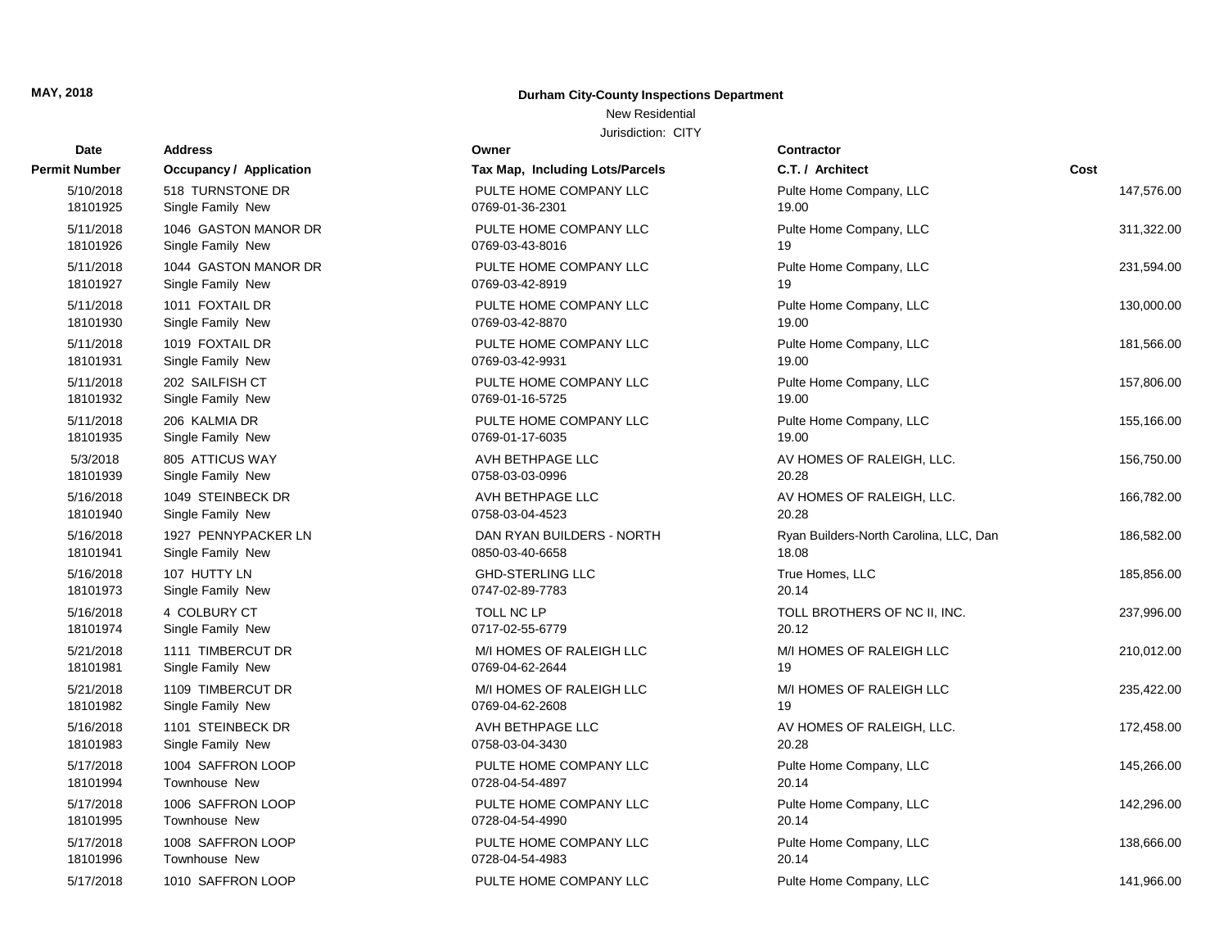## **Durham City-County Inspections Department**

# New Residential

| Date          | <b>Address</b>                 | Owner                           | <b>Contractor</b>                      |            |
|---------------|--------------------------------|---------------------------------|----------------------------------------|------------|
| Permit Number | <b>Occupancy / Application</b> | Tax Map, Including Lots/Parcels | C.T. / Architect                       | Cost       |
| 5/10/2018     | 518 TURNSTONE DR               | PULTE HOME COMPANY LLC          | Pulte Home Company, LLC                | 147,576.00 |
| 18101925      | Single Family New              | 0769-01-36-2301                 | 19.00                                  |            |
| 5/11/2018     | 1046 GASTON MANOR DR           | PULTE HOME COMPANY LLC          | Pulte Home Company, LLC                | 311,322.00 |
| 18101926      | Single Family New              | 0769-03-43-8016                 | 19                                     |            |
| 5/11/2018     | 1044 GASTON MANOR DR           | PULTE HOME COMPANY LLC          | Pulte Home Company, LLC                | 231,594.00 |
| 18101927      | Single Family New              | 0769-03-42-8919                 | 19                                     |            |
| 5/11/2018     | 1011 FOXTAIL DR                | PULTE HOME COMPANY LLC          | Pulte Home Company, LLC                | 130,000.00 |
| 18101930      | Single Family New              | 0769-03-42-8870                 | 19.00                                  |            |
| 5/11/2018     | 1019 FOXTAIL DR                | PULTE HOME COMPANY LLC          | Pulte Home Company, LLC                | 181,566.00 |
| 18101931      | Single Family New              | 0769-03-42-9931                 | 19.00                                  |            |
| 5/11/2018     | 202 SAILFISH CT                | PULTE HOME COMPANY LLC          | Pulte Home Company, LLC                | 157,806.00 |
| 18101932      | Single Family New              | 0769-01-16-5725                 | 19.00                                  |            |
| 5/11/2018     | 206 KALMIA DR                  | PULTE HOME COMPANY LLC          | Pulte Home Company, LLC                | 155,166.00 |
| 18101935      | Single Family New              | 0769-01-17-6035                 | 19.00                                  |            |
| 5/3/2018      | 805 ATTICUS WAY                | AVH BETHPAGE LLC                | AV HOMES OF RALEIGH, LLC.              | 156,750.00 |
| 18101939      | Single Family New              | 0758-03-03-0996                 | 20.28                                  |            |
| 5/16/2018     | 1049 STEINBECK DR              | AVH BETHPAGE LLC                | AV HOMES OF RALEIGH, LLC.              | 166,782.00 |
| 18101940      | Single Family New              | 0758-03-04-4523                 | 20.28                                  |            |
| 5/16/2018     | 1927 PENNYPACKER LN            | DAN RYAN BUILDERS - NORTH       | Ryan Builders-North Carolina, LLC, Dan | 186,582.00 |
| 18101941      | Single Family New              | 0850-03-40-6658                 | 18.08                                  |            |
| 5/16/2018     | 107 HUTTY LN                   | <b>GHD-STERLING LLC</b>         | True Homes, LLC                        | 185,856.00 |
| 18101973      | Single Family New              | 0747-02-89-7783                 | 20.14                                  |            |
| 5/16/2018     | 4 COLBURY CT                   | <b>TOLL NC LP</b>               | TOLL BROTHERS OF NC II, INC.           | 237,996.00 |
| 18101974      | Single Family New              | 0717-02-55-6779                 | 20.12                                  |            |
| 5/21/2018     | 1111 TIMBERCUT DR              | M/I HOMES OF RALEIGH LLC        | M/I HOMES OF RALEIGH LLC               | 210,012.00 |
| 18101981      | Single Family New              | 0769-04-62-2644                 | 19                                     |            |
| 5/21/2018     | 1109 TIMBERCUT DR              | M/I HOMES OF RALEIGH LLC        | M/I HOMES OF RALEIGH LLC               | 235,422.00 |
| 18101982      | Single Family New              | 0769-04-62-2608                 | 19                                     |            |
| 5/16/2018     | 1101 STEINBECK DR              | AVH BETHPAGE LLC                | AV HOMES OF RALEIGH, LLC.              | 172.458.00 |
| 18101983      | Single Family New              | 0758-03-04-3430                 | 20.28                                  |            |
| 5/17/2018     | 1004 SAFFRON LOOP              | PULTE HOME COMPANY LLC          | Pulte Home Company, LLC                | 145,266.00 |
| 18101994      | Townhouse New                  | 0728-04-54-4897                 | 20.14                                  |            |
| 5/17/2018     | 1006 SAFFRON LOOP              | PULTE HOME COMPANY LLC          | Pulte Home Company, LLC                | 142,296.00 |
| 18101995      | Townhouse New                  | 0728-04-54-4990                 | 20.14                                  |            |
| 5/17/2018     | 1008 SAFFRON LOOP              | PULTE HOME COMPANY LLC          | Pulte Home Company, LLC                | 138,666.00 |
| 18101996      | Townhouse New                  | 0728-04-54-4983                 | 20.14                                  |            |
| 5/17/2018     | 1010 SAFFRON LOOP              | PULTE HOME COMPANY LLC          | Pulte Home Company, LLC                | 141,966.00 |

| Date                  | Address                                |
|-----------------------|----------------------------------------|
| ermit Number          | <b>Occupancy / Application</b>         |
| 5/10/2018             | 518 TURNSTONE DR                       |
| 18101925              | Single Family New                      |
| 5/11/2018             | 1046 GASTON MANOR DR                   |
| 18101926              | Single Family New                      |
| 5/11/2018             | 1044 GASTON MANOR DR                   |
| 18101927              | Single Family New                      |
| 5/11/2018             | 1011 FOXTAIL DR                        |
| 18101930              | Single Family New                      |
| 5/11/2018             | 1019 FOXTAIL DR                        |
| 18101931              | Single Family New                      |
| 5/11/2018             | 202 SAILFISH CT                        |
| 18101932              | Single Family New                      |
| 5/11/2018             | 206 KALMIA DR                          |
| 18101935              | Single Family New                      |
| 5/3/2018              | 805 ATTICUS WAY                        |
| 18101939              | Single Family New                      |
| 5/16/2018             | 1049 STEINBECK DR                      |
| 18101940              | Single Family New                      |
| 5/16/2018             | 1927 PENNYPACKER LN                    |
| 18101941              | Single Family New                      |
| 5/16/2018             | 107 HUTTY LN                           |
| 18101973              | Single Family New                      |
| 5/16/2018             | 4 COLBURY CT                           |
| 18101974              | Single Family New                      |
| 5/21/2018             | 1111 TIMBERCUT DR                      |
| 18101981              | Single Family New                      |
| 5/21/2018<br>18101982 | 1109 TIMBERCUT DR<br>Single Family New |
|                       |                                        |
| 5/16/2018<br>18101983 | 1101 STEINBECK DR<br>Single Family New |
| 5/17/2018             | 1004 SAFFRON LOOP                      |
| 18101994              | Townhouse New                          |
| 5/17/2018             | 1006 SAFFRON LOOP                      |
| 18101995              | Townhouse New                          |
| 5/17/2018             | 1008 SAFFRON LOOP                      |
| 18101996              | <b>Townhouse New</b>                   |
| 5/17/2018             | 1010 SAFFRON LOOP                      |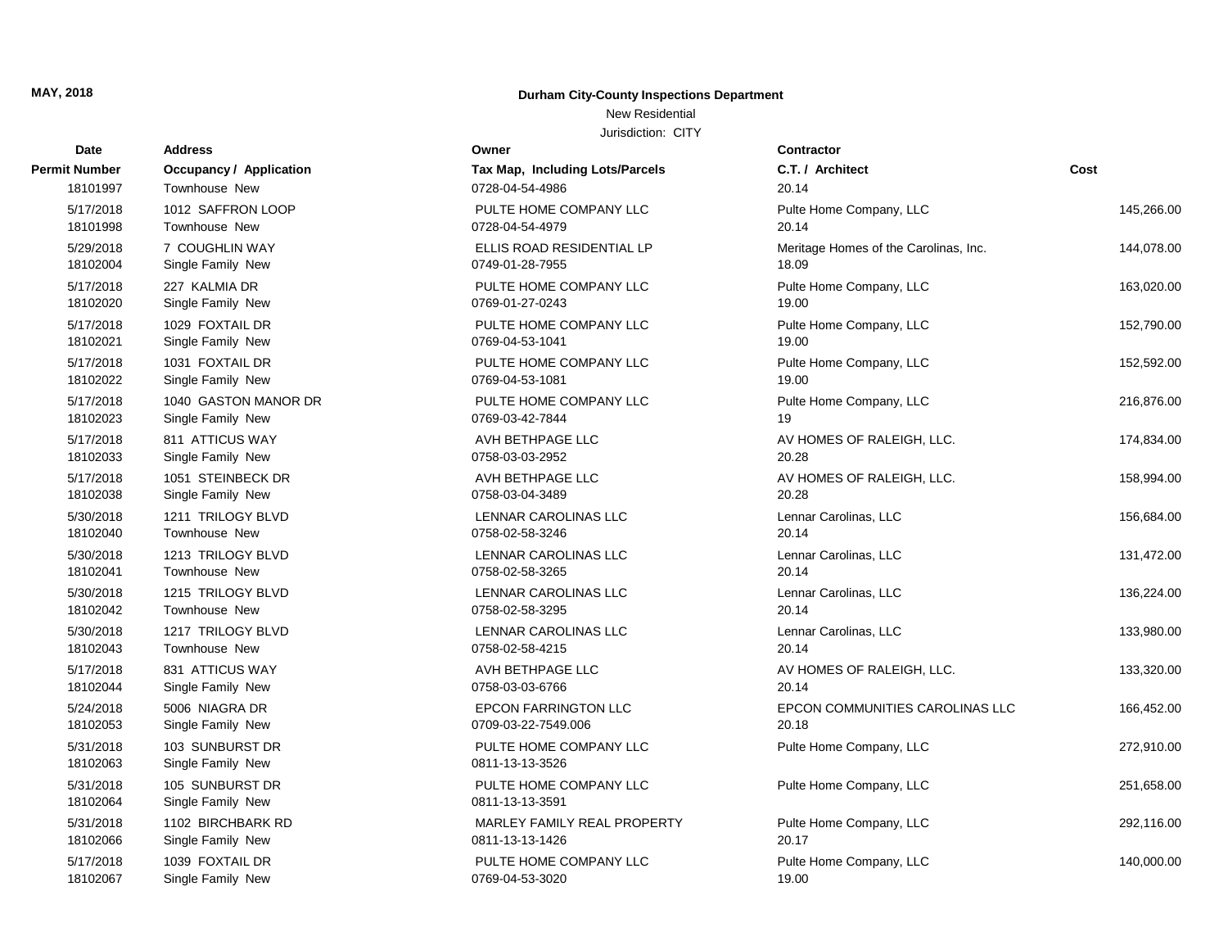## **Durham City-County Inspections Department**

## New Residential

| Date                  | <b>Address</b>                       | Owner                                     | Contractor                            |            |
|-----------------------|--------------------------------------|-------------------------------------------|---------------------------------------|------------|
| Permit Number         | Occupancy / Application              | Tax Map, Including Lots/Parcels           | C.T. / Architect                      | Cost       |
| 18101997              | Townhouse New                        | 0728-04-54-4986                           | 20.14                                 |            |
| 5/17/2018             | 1012 SAFFRON LOOP                    | PULTE HOME COMPANY LLC                    | Pulte Home Company, LLC               | 145.266.00 |
| 18101998              | Townhouse New                        | 0728-04-54-4979                           | 20.14                                 |            |
| 5/29/2018             | 7 COUGHLIN WAY                       | ELLIS ROAD RESIDENTIAL LP                 | Meritage Homes of the Carolinas, Inc. | 144,078.00 |
| 18102004              | Single Family New                    | 0749-01-28-7955                           | 18.09                                 |            |
| 5/17/2018             | 227 KALMIA DR                        | PULTE HOME COMPANY LLC                    | Pulte Home Company, LLC               | 163,020.00 |
| 18102020              | Single Family New                    | 0769-01-27-0243                           | 19.00                                 |            |
| 5/17/2018             | 1029 FOXTAIL DR                      | PULTE HOME COMPANY LLC                    | Pulte Home Company, LLC               | 152,790.00 |
| 18102021              | Single Family New                    | 0769-04-53-1041                           | 19.00                                 |            |
| 5/17/2018             | 1031 FOXTAIL DR                      | PULTE HOME COMPANY LLC                    | Pulte Home Company, LLC               | 152,592.00 |
| 18102022              | Single Family New                    | 0769-04-53-1081                           | 19.00                                 |            |
| 5/17/2018             | 1040 GASTON MANOR DR                 | PULTE HOME COMPANY LLC                    | Pulte Home Company, LLC               | 216,876.00 |
| 18102023              | Single Family New                    | 0769-03-42-7844                           | 19                                    |            |
| 5/17/2018             | 811 ATTICUS WAY                      | AVH BETHPAGE LLC                          | AV HOMES OF RALEIGH, LLC.             | 174,834.00 |
| 18102033              | Single Family New                    | 0758-03-03-2952                           | 20.28                                 |            |
| 5/17/2018             | 1051 STEINBECK DR                    | AVH BETHPAGE LLC                          | AV HOMES OF RALEIGH, LLC.             | 158,994.00 |
| 18102038              | Single Family New                    | 0758-03-04-3489                           | 20.28                                 |            |
| 5/30/2018             | 1211 TRILOGY BLVD                    | LENNAR CAROLINAS LLC                      | Lennar Carolinas, LLC                 | 156,684.00 |
| 18102040              | Townhouse New                        | 0758-02-58-3246                           | 20.14                                 |            |
| 5/30/2018             | 1213 TRILOGY BLVD                    | LENNAR CAROLINAS LLC                      | Lennar Carolinas, LLC                 | 131,472.00 |
| 18102041              | Townhouse New                        | 0758-02-58-3265                           | 20.14                                 |            |
| 5/30/2018             | 1215 TRILOGY BLVD                    | LENNAR CAROLINAS LLC                      | Lennar Carolinas, LLC                 | 136,224.00 |
| 18102042              | Townhouse New                        | 0758-02-58-3295                           | 20.14                                 |            |
| 5/30/2018             | 1217 TRILOGY BLVD                    | LENNAR CAROLINAS LLC                      | Lennar Carolinas, LLC                 | 133,980.00 |
| 18102043              | <b>Townhouse New</b>                 | 0758-02-58-4215                           | 20.14                                 |            |
| 5/17/2018             | 831 ATTICUS WAY                      | AVH BETHPAGE LLC                          | AV HOMES OF RALEIGH, LLC.             | 133,320.00 |
| 18102044              | Single Family New                    | 0758-03-03-6766                           | 20.14                                 |            |
| 5/24/2018             | 5006 NIAGRA DR                       | <b>EPCON FARRINGTON LLC</b>               | EPCON COMMUNITIES CAROLINAS LLC       | 166,452.00 |
| 18102053              | Single Family New                    | 0709-03-22-7549.006                       | 20.18                                 |            |
| 5/31/2018<br>18102063 | 103 SUNBURST DR<br>Single Family New | PULTE HOME COMPANY LLC<br>0811-13-13-3526 | Pulte Home Company, LLC               | 272,910.00 |
| 5/31/2018<br>18102064 | 105 SUNBURST DR<br>Single Family New | PULTE HOME COMPANY LLC<br>0811-13-13-3591 | Pulte Home Company, LLC               | 251,658.00 |
| 5/31/2018             | 1102 BIRCHBARK RD                    | MARLEY FAMILY REAL PROPERTY               | Pulte Home Company, LLC               | 292,116.00 |
| 18102066              | Single Family New                    | 0811-13-13-1426                           | 20.17                                 |            |
| 5/17/2018             | 1039 FOXTAIL DR                      | PULTE HOME COMPANY LLC                    | Pulte Home Company, LLC               | 140,000.00 |
| 18102067              | Single Family New                    | 0769-04-53-3020                           | 19.00                                 |            |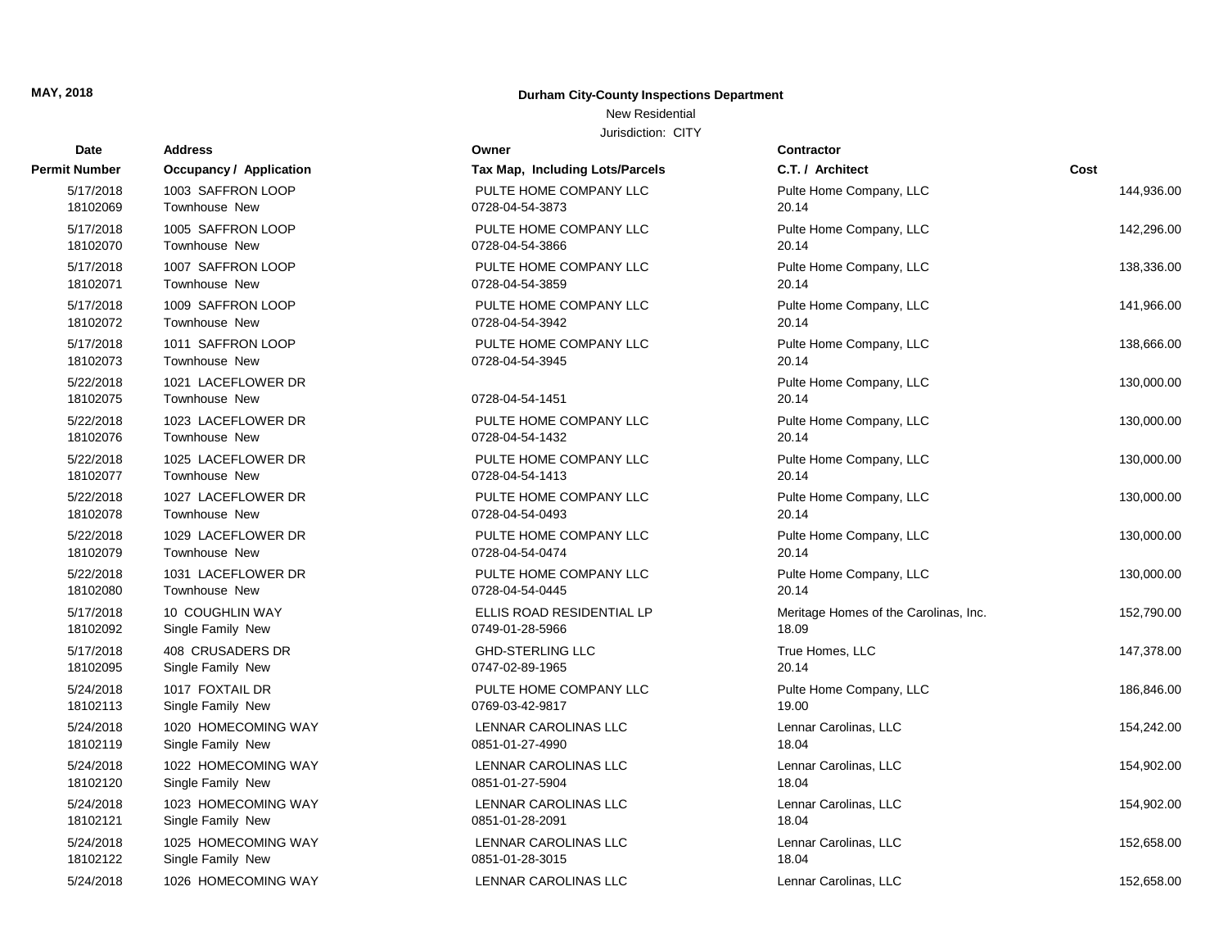## **Durham City-County Inspections Department**

# New Residential

| Date                  | <b>Address</b>                             | Owner                           | <b>Contractor</b>                     |            |
|-----------------------|--------------------------------------------|---------------------------------|---------------------------------------|------------|
| Permit Number         | <b>Occupancy / Application</b>             | Tax Map, Including Lots/Parcels | C.T. / Architect                      | Cost       |
| 5/17/2018             | 1003 SAFFRON LOOP                          | PULTE HOME COMPANY LLC          | Pulte Home Company, LLC               | 144,936.00 |
| 18102069              | <b>Townhouse New</b>                       | 0728-04-54-3873                 | 20.14                                 |            |
| 5/17/2018             | 1005 SAFFRON LOOP                          | PULTE HOME COMPANY LLC          | Pulte Home Company, LLC               | 142,296.00 |
| 18102070              | <b>Townhouse New</b>                       | 0728-04-54-3866                 | 20.14                                 |            |
| 5/17/2018             | 1007 SAFFRON LOOP                          | PULTE HOME COMPANY LLC          | Pulte Home Company, LLC               | 138,336.00 |
| 18102071              | Townhouse New                              | 0728-04-54-3859                 | 20.14                                 |            |
| 5/17/2018             | 1009 SAFFRON LOOP                          | PULTE HOME COMPANY LLC          | Pulte Home Company, LLC               | 141,966.00 |
| 18102072              | <b>Townhouse New</b>                       | 0728-04-54-3942                 | 20.14                                 |            |
| 5/17/2018             | 1011 SAFFRON LOOP                          | PULTE HOME COMPANY LLC          | Pulte Home Company, LLC               | 138,666.00 |
| 18102073              | <b>Townhouse New</b>                       | 0728-04-54-3945                 | 20.14                                 |            |
| 5/22/2018<br>18102075 | 1021 LACEFLOWER DR<br><b>Townhouse New</b> | 0728-04-54-1451                 | Pulte Home Company, LLC<br>20.14      | 130,000.00 |
| 5/22/2018             | 1023 LACEFLOWER DR                         | PULTE HOME COMPANY LLC          | Pulte Home Company, LLC               | 130,000.00 |
| 18102076              | <b>Townhouse New</b>                       | 0728-04-54-1432                 | 20.14                                 |            |
| 5/22/2018             | 1025 LACEFLOWER DR                         | PULTE HOME COMPANY LLC          | Pulte Home Company, LLC               | 130,000.00 |
| 18102077              | Townhouse New                              | 0728-04-54-1413                 | 20.14                                 |            |
| 5/22/2018             | 1027 LACEFLOWER DR                         | PULTE HOME COMPANY LLC          | Pulte Home Company, LLC               | 130,000.00 |
| 18102078              | <b>Townhouse New</b>                       | 0728-04-54-0493                 | 20.14                                 |            |
| 5/22/2018             | 1029 LACEFLOWER DR                         | PULTE HOME COMPANY LLC          | Pulte Home Company, LLC               | 130,000.00 |
| 18102079              | <b>Townhouse New</b>                       | 0728-04-54-0474                 | 20.14                                 |            |
| 5/22/2018             | 1031 LACEFLOWER DR                         | PULTE HOME COMPANY LLC          | Pulte Home Company, LLC               | 130,000.00 |
| 18102080              | Townhouse New                              | 0728-04-54-0445                 | 20.14                                 |            |
| 5/17/2018             | 10 COUGHLIN WAY                            | ELLIS ROAD RESIDENTIAL LP       | Meritage Homes of the Carolinas, Inc. | 152,790.00 |
| 18102092              | Single Family New                          | 0749-01-28-5966                 | 18.09                                 |            |
| 5/17/2018             | 408 CRUSADERS DR                           | <b>GHD-STERLING LLC</b>         | True Homes, LLC                       | 147,378.00 |
| 18102095              | Single Family New                          | 0747-02-89-1965                 | 20.14                                 |            |
| 5/24/2018             | 1017 FOXTAIL DR                            | PULTE HOME COMPANY LLC          | Pulte Home Company, LLC               | 186,846.00 |
| 18102113              | Single Family New                          | 0769-03-42-9817                 | 19.00                                 |            |
| 5/24/2018             | 1020 HOMECOMING WAY                        | LENNAR CAROLINAS LLC            | Lennar Carolinas, LLC                 | 154,242.00 |
| 18102119              | Single Family New                          | 0851-01-27-4990                 | 18.04                                 |            |
| 5/24/2018             | 1022 HOMECOMING WAY                        | <b>LENNAR CAROLINAS LLC</b>     | Lennar Carolinas, LLC                 | 154,902.00 |
| 18102120              | Single Family New                          | 0851-01-27-5904                 | 18.04                                 |            |
| 5/24/2018             | 1023 HOMECOMING WAY                        | LENNAR CAROLINAS LLC            | Lennar Carolinas, LLC                 | 154,902.00 |
| 18102121              | Single Family New                          | 0851-01-28-2091                 | 18.04                                 |            |
| 5/24/2018             | 1025 HOMECOMING WAY                        | LENNAR CAROLINAS LLC            | Lennar Carolinas, LLC                 | 152,658.00 |
| 18102122              | Single Family New                          | 0851-01-28-3015                 | 18.04                                 |            |
| 5/24/2018             | 1026 HOMECOMING WAY                        | <b>LENNAR CAROLINAS LLC</b>     | Lennar Carolinas, LLC                 | 152,658.00 |

| ermit Number          | <b>Occupancy / Application</b>             |
|-----------------------|--------------------------------------------|
| 5/17/2018             | 1003 SAFFRON LOOP                          |
| 18102069              | Townhouse New                              |
| 5/17/2018             | 1005 SAFFRON LOOP                          |
| 18102070              | Townhouse New                              |
| 5/17/2018             | 1007 SAFFRON LOOP                          |
| 18102071              | Townhouse New                              |
| 5/17/2018<br>18102072 | 1009 SAFFRON LOOP<br>Townhouse New         |
|                       |                                            |
| 5/17/2018<br>18102073 | 1011 SAFFRON LOOP<br>Townhouse New         |
| 5/22/2018             | 1021 LACEFLOWER DR                         |
| 18102075              | Townhouse New                              |
| 5/22/2018             | 1023 LACEFLOWER DR                         |
| 18102076              | Townhouse New                              |
| 5/22/2018             | 1025 LACEFLOWER DR                         |
| 18102077              | Townhouse New                              |
| 5/22/2018<br>18102078 | 1027 LACEFLOWER DR<br><b>Townhouse New</b> |
| 5/22/2018             | 1029 LACEFLOWER DR                         |
| 18102079              | <b>Townhouse New</b>                       |
| 5/22/2018             | 1031 LACEFLOWER DR                         |
| 18102080              | <b>Townhouse New</b>                       |
| 5/17/2018             | <b>10 COUGHLIN WAY</b>                     |
| 18102092              | Single Family New                          |
| 5/17/2018             | <b>408 CRUSADERS DR</b>                    |
| 18102095              | Single Family New                          |
| 5/24/2018<br>18102113 | 1017 FOXTAIL DR<br>Single Family New       |
| 5/24/2018             | 1020 HOMECOMING WAY                        |
| 18102119              | Single Family New                          |
| 5/24/2018             | 1022 HOMECOMING WAY                        |
| 18102120              | Single Family New                          |
| 5/24/2018             | 1023 HOMECOMING WAY                        |
| 18102121              | Single Family New                          |
| 5/24/2018             | 1025 HOMECOMING WAY                        |
| 18102122              | Single Family New                          |
| 5/24/2018             | 1026 HOMECOMING WAY                        |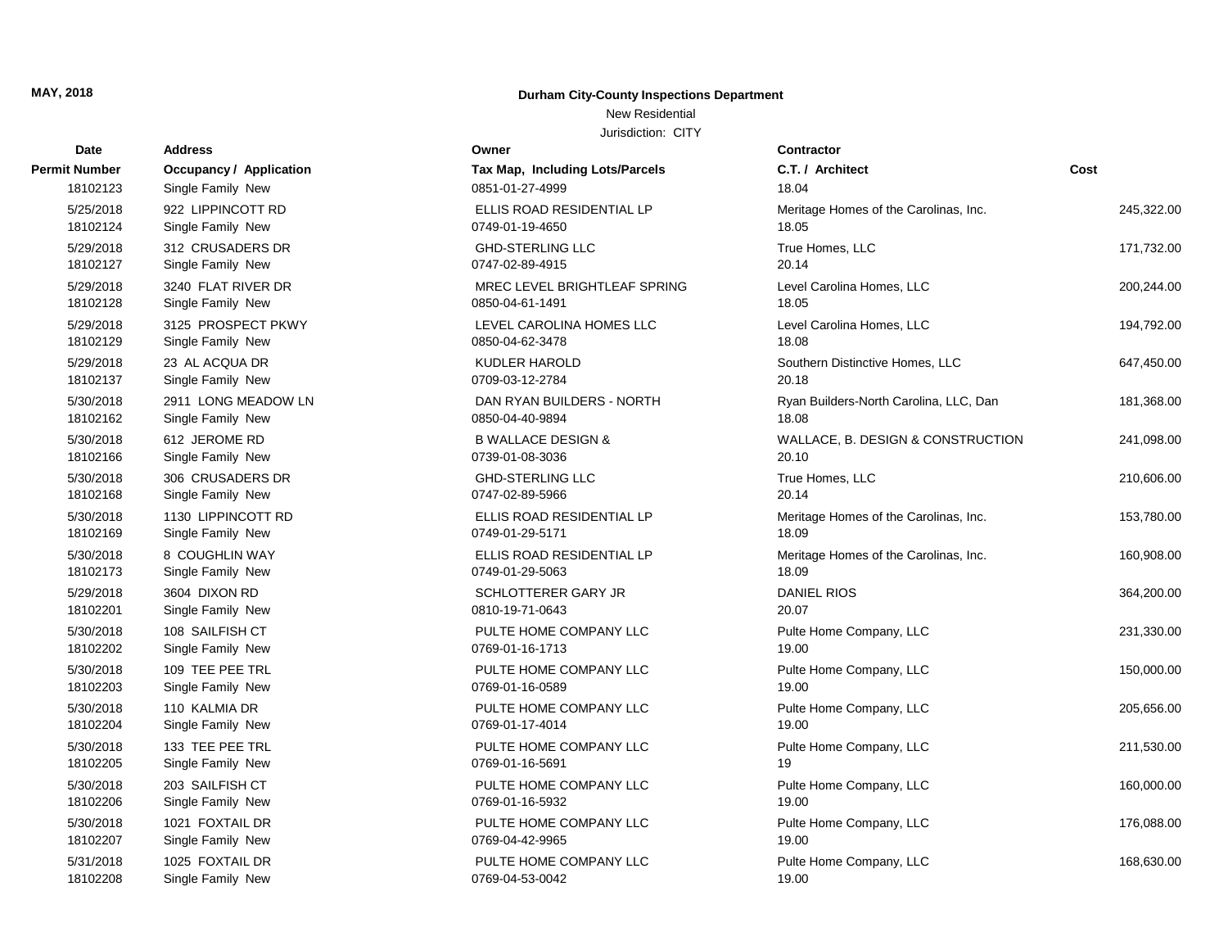#### **Durham City-County Inspections Department**

#### New Residential

| <b>Date</b>          | Address                        | Owner                                  | <b>Contractor</b>                      |            |
|----------------------|--------------------------------|----------------------------------------|----------------------------------------|------------|
| <b>Permit Number</b> | <b>Occupancy / Application</b> | <b>Tax Map, Including Lots/Parcels</b> | C.T. / Architect                       | Cost       |
| 18102123             | Single Family New              | 0851-01-27-4999                        | 18.04                                  |            |
| 5/25/2018            | 922 LIPPINCOTT RD              | ELLIS ROAD RESIDENTIAL LP              | Meritage Homes of the Carolinas, Inc.  | 245,322.00 |
| 18102124             | Single Family New              | 0749-01-19-4650                        | 18.05                                  |            |
| 5/29/2018            | 312 CRUSADERS DR               | <b>GHD-STERLING LLC</b>                | True Homes, LLC                        | 171,732.00 |
| 18102127             | Single Family New              | 0747-02-89-4915                        | 20.14                                  |            |
| 5/29/2018            | 3240 FLAT RIVER DR             | MREC LEVEL BRIGHTLEAF SPRING           | Level Carolina Homes, LLC              | 200,244.00 |
| 18102128             | Single Family New              | 0850-04-61-1491                        | 18.05                                  |            |
| 5/29/2018            | 3125 PROSPECT PKWY             | LEVEL CAROLINA HOMES LLC               | Level Carolina Homes, LLC              | 194,792.00 |
| 18102129             | Single Family New              | 0850-04-62-3478                        | 18.08                                  |            |
| 5/29/2018            | 23 AL ACQUA DR                 | <b>KUDLER HAROLD</b>                   | Southern Distinctive Homes, LLC        | 647,450.00 |
| 18102137             | Single Family New              | 0709-03-12-2784                        | 20.18                                  |            |
| 5/30/2018            | 2911 LONG MEADOW LN            | DAN RYAN BUILDERS - NORTH              | Ryan Builders-North Carolina, LLC, Dan | 181,368.00 |
| 18102162             | Single Family New              | 0850-04-40-9894                        | 18.08                                  |            |
| 5/30/2018            | 612 JEROME RD                  | <b>B WALLACE DESIGN &amp;</b>          | WALLACE, B. DESIGN & CONSTRUCTION      | 241,098.00 |
| 18102166             | Single Family New              | 0739-01-08-3036                        | 20.10                                  |            |
| 5/30/2018            | 306 CRUSADERS DR               | <b>GHD-STERLING LLC</b>                | True Homes, LLC                        | 210,606.00 |
| 18102168             | Single Family New              | 0747-02-89-5966                        | 20.14                                  |            |
| 5/30/2018            | 1130 LIPPINCOTT RD             | ELLIS ROAD RESIDENTIAL LP              | Meritage Homes of the Carolinas, Inc.  | 153,780.00 |
| 18102169             | Single Family New              | 0749-01-29-5171                        | 18.09                                  |            |
| 5/30/2018            | 8 COUGHLIN WAY                 | ELLIS ROAD RESIDENTIAL LP              | Meritage Homes of the Carolinas, Inc.  | 160,908.00 |
| 18102173             | Single Family New              | 0749-01-29-5063                        | 18.09                                  |            |
| 5/29/2018            | 3604 DIXON RD                  | SCHLOTTERER GARY JR                    | <b>DANIEL RIOS</b>                     | 364,200.00 |
| 18102201             | Single Family New              | 0810-19-71-0643                        | 20.07                                  |            |
| 5/30/2018            | 108 SAILFISH CT                | PULTE HOME COMPANY LLC                 | Pulte Home Company, LLC                | 231,330.00 |
| 18102202             | Single Family New              | 0769-01-16-1713                        | 19.00                                  |            |
| 5/30/2018            | 109 TEE PEE TRL                | PULTE HOME COMPANY LLC                 | Pulte Home Company, LLC                | 150,000.00 |
| 18102203             | Single Family New              | 0769-01-16-0589                        | 19.00                                  |            |
| 5/30/2018            | 110 KALMIA DR                  | PULTE HOME COMPANY LLC                 | Pulte Home Company, LLC                | 205,656.00 |
| 18102204             | Single Family New              | 0769-01-17-4014                        | 19.00                                  |            |
| 5/30/2018            | 133 TEE PEE TRL                | PULTE HOME COMPANY LLC                 | Pulte Home Company, LLC                | 211,530.00 |
| 18102205             | Single Family New              | 0769-01-16-5691                        | 19                                     |            |
| 5/30/2018            | 203 SAILFISH CT                | PULTE HOME COMPANY LLC                 | Pulte Home Company, LLC                | 160,000.00 |
| 18102206             | Single Family New              | 0769-01-16-5932                        | 19.00                                  |            |
| 5/30/2018            | 1021 FOXTAIL DR                | PULTE HOME COMPANY LLC                 | Pulte Home Company, LLC                | 176,088.00 |
| 18102207             | Single Family New              | 0769-04-42-9965                        | 19.00                                  |            |
| 5/31/2018            | 1025 FOXTAIL DR                | PULTE HOME COMPANY LLC                 | Pulte Home Company, LLC                | 168,630.00 |
| 18102208             | Single Family New              | 0769-04-53-0042                        | 19.00                                  |            |